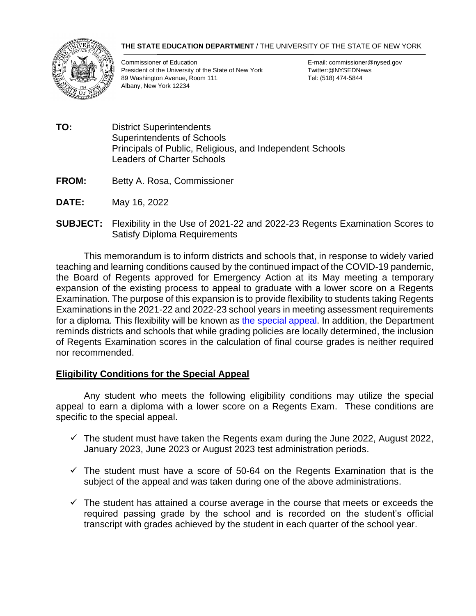## **THE STATE EDUCATION DEPARTMENT** / THE UNIVERSITY OF THE STATE OF NEW YORK



Commissioner of Education E-mail: commissioner@nysed.gov President of the University of the State of New York Twitter: @NYSEDNews 89 Washington Avenue, Room 111 Tel: (518) 474-5844 Albany, New York 12234

- **TO:** District Superintendents Superintendents of Schools Principals of Public, Religious, and Independent Schools Leaders of Charter Schools
- **FROM:** Betty A. Rosa, Commissioner
- **DATE:** May 16, 2022
- **SUBJECT:** Flexibility in the Use of 2021-22 and 2022-23 Regents Examination Scores to Satisfy Diploma Requirements

This memorandum is to inform districts and schools that, in response to widely varied teaching and learning conditions caused by the continued impact of the COVID-19 pandemic, the Board of Regents approved for Emergency Action at its May meeting a temporary expansion of the existing process to appeal to graduate with a lower score on a Regents Examination. The purpose of this expansion is to provide flexibility to students taking Regents Examinations in the 2021-22 and 2022-23 school years in meeting assessment requirements for a diploma. This flexibility will be known as [the special appeal.](https://www.regents.nysed.gov/common/regents/files/522p12a6.pdf) In addition, the Department reminds districts and schools that while grading policies are locally determined, the inclusion of Regents Examination scores in the calculation of final course grades is neither required nor recommended.

## **Eligibility Conditions for the Special Appeal**

Any student who meets the following eligibility conditions may utilize the special appeal to earn a diploma with a lower score on a Regents Exam. These conditions are specific to the special appeal.

- $\checkmark$  The student must have taken the Regents exam during the June 2022, August 2022, January 2023, June 2023 or August 2023 test administration periods.
- $\checkmark$  The student must have a score of 50-64 on the Regents Examination that is the subject of the appeal and was taken during one of the above administrations.
- $\checkmark$  The student has attained a course average in the course that meets or exceeds the required passing grade by the school and is recorded on the student's official transcript with grades achieved by the student in each quarter of the school year.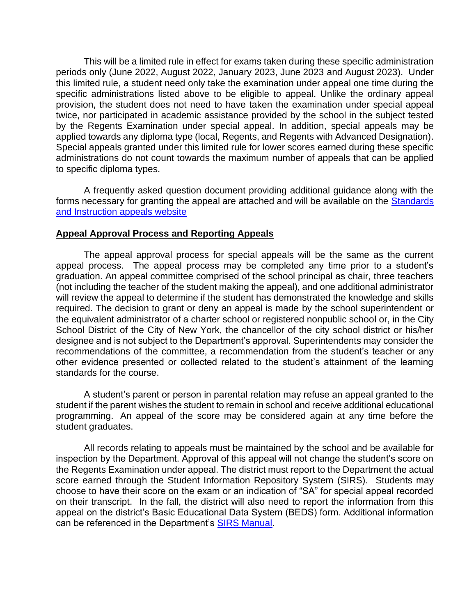This will be a limited rule in effect for exams taken during these specific administration periods only (June 2022, August 2022, January 2023, June 2023 and August 2023). Under this limited rule, a student need only take the examination under appeal one time during the specific administrations listed above to be eligible to appeal. Unlike the ordinary appeal provision, the student does not need to have taken the examination under special appeal twice, nor participated in academic assistance provided by the school in the subject tested by the Regents Examination under special appeal. In addition, special appeals may be applied towards any diploma type (local, Regents, and Regents with Advanced Designation). Special appeals granted under this limited rule for lower scores earned during these specific administrations do not count towards the maximum number of appeals that can be applied to specific diploma types.

A frequently asked question document providing additional guidance along with the forms necessary for granting the appeal are attached and will be available on the Standards [and Instruction appeals website](http://www.nysed.gov/curriculum-instruction/appeals-safety-nets-and-superintendent-determination)

## **Appeal Approval Process and Reporting Appeals**

The appeal approval process for special appeals will be the same as the current appeal process. The appeal process may be completed any time prior to a student's graduation. An appeal committee comprised of the school principal as chair, three teachers (not including the teacher of the student making the appeal), and one additional administrator will review the appeal to determine if the student has demonstrated the knowledge and skills required. The decision to grant or deny an appeal is made by the school superintendent or the equivalent administrator of a charter school or registered nonpublic school or, in the City School District of the City of New York, the chancellor of the city school district or his/her designee and is not subject to the Department's approval. Superintendents may consider the recommendations of the committee, a recommendation from the student's teacher or any other evidence presented or collected related to the student's attainment of the learning standards for the course.

A student's parent or person in parental relation may refuse an appeal granted to the student if the parent wishes the student to remain in school and receive additional educational programming. An appeal of the score may be considered again at any time before the student graduates.

All records relating to appeals must be maintained by the school and be available for inspection by the Department. Approval of this appeal will not change the student's score on the Regents Examination under appeal. The district must report to the Department the actual score earned through the Student Information Repository System (SIRS). Students may choose to have their score on the exam or an indication of "SA" for special appeal recorded on their transcript. In the fall, the district will also need to report the information from this appeal on the district's Basic Educational Data System (BEDS) form. Additional information can be referenced in the Department's [SIRS Manual.](https://www.p12.nysed.gov/irs/sirs/)